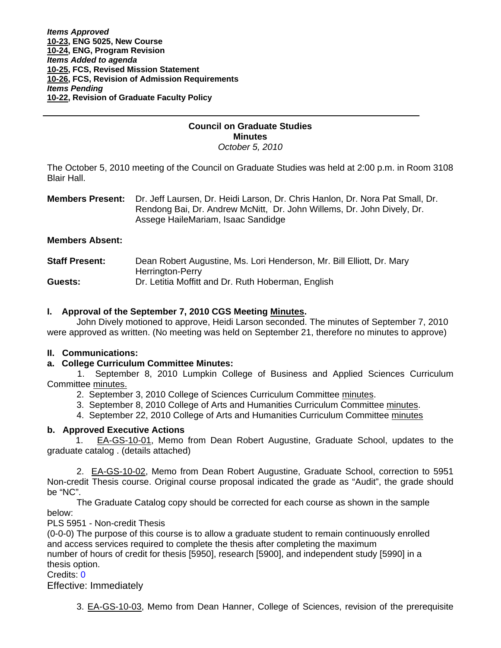# **Council on Graduate Studies Minutes**

*October 5, 2010* 

The October 5, 2010 meeting of the Council on Graduate Studies was held at 2:00 p.m. in Room 3108 Blair Hall.

**Members Present:** Dr. Jeff Laursen, Dr. Heidi Larson, Dr. Chris Hanlon, Dr. Nora Pat Small, Dr. Rendong Bai, Dr. Andrew McNitt, Dr. John Willems, Dr. John Dively, Dr. Assege HaileMariam, Isaac Sandidge

## **Members Absent:**

Ī

| <b>Staff Present:</b> | Dean Robert Augustine, Ms. Lori Henderson, Mr. Bill Elliott, Dr. Mary |
|-----------------------|-----------------------------------------------------------------------|
|                       | Herrington-Perry                                                      |
| Guests:               | Dr. Letitia Moffitt and Dr. Ruth Hoberman, English                    |

## **I. Approval of the September 7, 2010 CGS Meetin[g Minutes.](http://castle.eiu.edu/~eiucgs/currentminutes/Minutes9-7-10.pdf)**

 John Dively motioned to approve, Heidi Larson seconded. The minutes of September 7, 2010 were approved as written. (No meeting was held on September 21, therefore no minutes to approve)

## **II. Communications:**

## **a. College Curriculum Committee Minutes:**

 1. September 8, 2010 Lumpkin College of Business and Applied Sciences Curriculum Committe[e minutes.](http://castle.eiu.edu/~eiucgs/currentagendaitems/LCBASMin9-8-10.pdf)

- 2. September 3, 2010 College of Sciences Curriculum Committee [minutes.](http://castle.eiu.edu/~eiucgs/currentagendaitems/COSMin9-3-10.pdf)
- 3. September 8, 2010 College of Arts and Humanities Curriculum Committee [minutes.](http://castle.eiu.edu/~eiucgs/currentagendaitems/CAHMin9-8-10.pdf)
- 4. September 22, 2010 College of Arts and Humanities Curriculum Committ[ee minutes](http://castle.eiu.edu/~eiucgs/currentagendaitems/CAHMin9-22-10.pdf)

## **b. Approved Executive Actions**

1.[EA-GS-10-01,](http://www.eiu.edu/~eiucgs/exec-actions/EA-GS-10-01.pdf) Memo from Dean Robert Augustine, Graduate School, updates to the graduate catalog . (details attached)

2. [EA-GS-10-02, M](http://www.eiu.edu/~eiucgs/exec-actions/EA-GS-10-02.pdf)emo from Dean Robert Augustine, Graduate School, correction to 5951 Non-credit Thesis course. Original course proposal indicated the grade as "Audit", the grade should be "NC".

 The Graduate Catalog copy should be corrected for each course as shown in the sample below:

PLS 5951 - Non-credit Thesis

(0-0-0) The purpose of this course is to allow a graduate student to remain continuously enrolled and access services required to complete the thesis after completing the maximum number of hours of credit for thesis [5950], research [5900], and independent study [5990] in a thesis option.

Credits: 0

Effective: Immediately

3[. EA-GS-10-03,](http://www.eiu.edu/~eiucgs/exec-actions/EA-GS-10-03.pdf) Memo from Dean Hanner, College of Sciences, revision of the prerequisite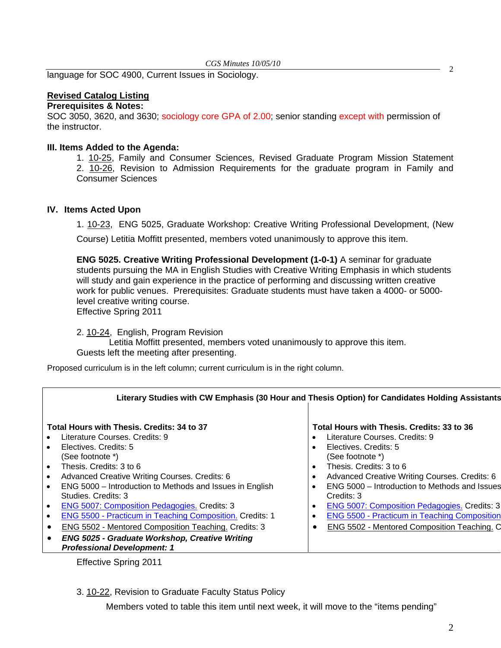2 language for SOC 4900, Current Issues in Sociology.

## **Revised Catalog Listing**

### **Prerequisites & Notes:**

SOC 3050, 3620, and 3630; sociology core GPA of 2.00; senior standing except with permission of the instructor.

## **III. Items Added to the Agenda:**

1. [10-25,](http://www.eiu.edu/~eiucgs/currentagendaitems/agenda10-25.pdf) Family and Consumer Sciences, Revised Graduate Program Mission Statement 2. [10-26,](http://www.eiu.edu/~eiucgs/currentagendaitems/agenda10-26.pdf) Revision to Admission Requirements for the graduate program in Family and Consumer Sciences

## **IV. Items Acted Upon**

1. [10-23,](http://www.eiu.edu/~eiucgs/currentagendaitems/agenda10-23.pdf) ENG 5025, Graduate Workshop: Creative Writing Professional Development, (New

Course) Letitia Moffitt presented, members voted unanimously to approve this item.

**ENG 5025. Creative Writing Professional Development (1-0-1)** A seminar for graduate students pursuing the MA in English Studies with Creative Writing Emphasis in which students will study and gain experience in the practice of performing and discussing written creative work for public venues. Prerequisites: Graduate students must have taken a 4000- or 5000 level creative writing course. Effective Spring 2011

2. [10-24, E](http://www.eiu.edu/~eiucgs/currentagendaitems/agenda10-24.pdf)nglish, Program Revision

 Letitia Moffitt presented, members voted unanimously to approve this item. Guests left the meeting after presenting.

Proposed curriculum is in the left column; current curriculum is in the right column.

|                                                                 | Literary Studies with CW Emphasis (30 Hour and Thesis Option) for Candidates Holding Assistants |
|-----------------------------------------------------------------|-------------------------------------------------------------------------------------------------|
| Total Hours with Thesis. Credits: 34 to 37                      | Total Hours with Thesis. Credits: 33 to 36                                                      |
| Literature Courses. Credits: 9                                  | Literature Courses, Credits: 9                                                                  |
| Electives. Credits: 5                                           | Electives. Credits: 5                                                                           |
| (See footnote *)                                                | (See footnote *)                                                                                |
| Thesis. Credits: 3 to 6                                         | Thesis. Credits: 3 to 6                                                                         |
| Advanced Creative Writing Courses. Credits: 6                   | Advanced Creative Writing Courses. Credits: 6                                                   |
| ENG 5000 – Introduction to Methods and Issues in English        | ٠                                                                                               |
| Studies, Credits: 3                                             | ENG 5000 - Introduction to Methods and Issues                                                   |
| <b>ENG 5007: Composition Pedagogies. Credits: 3</b>             | Credits: 3                                                                                      |
| <b>ENG 5500 - Practicum in Teaching Composition. Credits: 1</b> | <b>ENG 5007: Composition Pedagogies. Credits: 3</b>                                             |
| ENG 5502 - Mentored Composition Teaching. Credits: 3            | <b>ENG 5500 - Practicum in Teaching Composition</b>                                             |
| <b>ENG 5025 - Graduate Workshop, Creative Writing</b>           | $\bullet$                                                                                       |
| <b>Professional Development: 1</b>                              | ENG 5502 - Mentored Composition Teaching. O                                                     |

Effective Spring 2011

3. [10-22, R](http://www.eiu.edu/~eiucgs/currentagendaitems/agenda10-22.pdf)evision to Graduate Faculty Status Policy

Members voted to table this item until next week, it will move to the "items pending"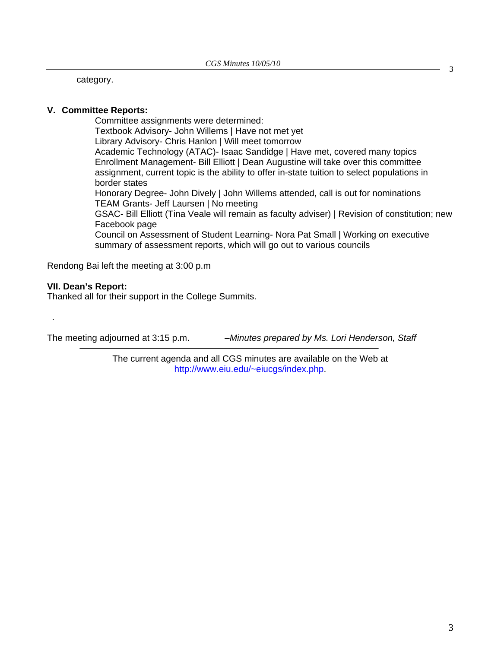category.

## **V. Committee Reports:**

Committee assignments were determined: Textbook Advisory- John Willems | Have not met yet Library Advisory- Chris Hanlon | Will meet tomorrow Academic Technology (ATAC)- Isaac Sandidge | Have met, covered many topics Enrollment Management- Bill Elliott | Dean Augustine will take over this committee assignment, current topic is the ability to offer in-state tuition to select populations in border states Honorary Degree- John Dively | John Willems attended, call is out for nominations TEAM Grants- Jeff Laursen | No meeting GSAC- Bill Elliott (Tina Veale will remain as faculty adviser) | Revision of constitution; new Facebook page Council on Assessment of Student Learning- Nora Pat Small | Working on executive summary of assessment reports, which will go out to various councils

Rendong Bai left the meeting at 3:00 p.m

## **VII. Dean's Report:**

.

Thanked all for their support in the College Summits.

The meeting adjourned at 3:15 p.m. *–Minutes prepared by Ms. Lori Henderson, Staff* 

The current agenda and all CGS minutes are available on the Web at http://www.eiu.edu/~eiucgs/index.php.

3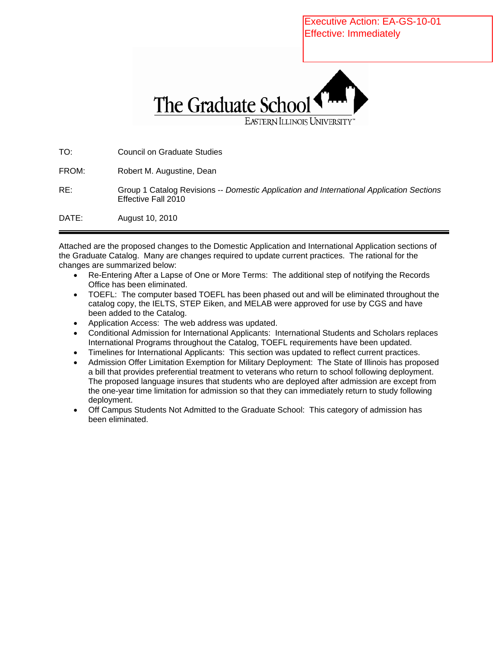Executive Action: EA-GS-10-01 Effective: ImmediatelyThe Graduate School EASTERN ILLINOIS UNIVERSITY

TO: Council on Graduate Studies FROM: Robert M. Augustine, Dean RE: Group 1 Catalog Revisions -- *Domestic Application and International Application Sections* Effective Fall 2010 DATE: August 10, 2010

Attached are the proposed changes to the Domestic Application and International Application sections of the Graduate Catalog. Many are changes required to update current practices. The rational for the changes are summarized below:

- Re-Entering After a Lapse of One or More Terms: The additional step of notifying the Records Office has been eliminated.
- TOEFL: The computer based TOEFL has been phased out and will be eliminated throughout the catalog copy, the IELTS, STEP Eiken, and MELAB were approved for use by CGS and have been added to the Catalog.
- Application Access: The web address was updated.
- Conditional Admission for International Applicants: International Students and Scholars replaces International Programs throughout the Catalog, TOEFL requirements have been updated.
- Timelines for International Applicants: This section was updated to reflect current practices.
- Admission Offer Limitation Exemption for Military Deployment: The State of Illinois has proposed a bill that provides preferential treatment to veterans who return to school following deployment. The proposed language insures that students who are deployed after admission are except from the one-year time limitation for admission so that they can immediately return to study following deployment.
- Off Campus Students Not Admitted to the Graduate School: This category of admission has been eliminated.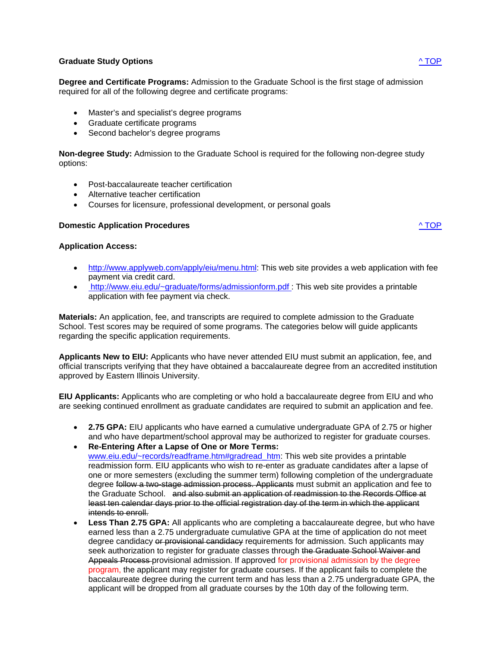## **Graduate Study Options** ^ TOP

**Degree and Certificate Programs:** Admission to the Graduate School is the first stage of admission required for all of the following degree and certificate programs:

- Master's and specialist's degree programs
- Graduate certificate programs
- Second bachelor's degree programs

**Non-degree Study:** Admission to the Graduate School is required for the following non-degree study options:

- Post-baccalaureate teacher certification
- Alternative teacher certification
- Courses for licensure, professional development, or personal goals

#### **Domestic Application Procedures** ^ TOP

#### **Application Access:**

- http://www.applyweb.com/apply/eiu/menu.html: This web site provides a web application with fee payment via credit card.
- http://www.eiu.edu/~graduate/forms/admissionform.pdf : This web site provides a printable application with fee payment via check.

**Materials:** An application, fee, and transcripts are required to complete admission to the Graduate School. Test scores may be required of some programs. The categories below will guide applicants regarding the specific application requirements.

**Applicants New to EIU:** Applicants who have never attended EIU must submit an application, fee, and official transcripts verifying that they have obtained a baccalaureate degree from an accredited institution approved by Eastern Illinois University.

**EIU Applicants:** Applicants who are completing or who hold a baccalaureate degree from EIU and who are seeking continued enrollment as graduate candidates are required to submit an application and fee.

- **2.75 GPA:** EIU applicants who have earned a cumulative undergraduate GPA of 2.75 or higher and who have department/school approval may be authorized to register for graduate courses.
- **Re-Entering After a Lapse of One or More Terms:** www.eiu.edu/~records/readframe.htm#gradread\_htm: This web site provides a printable readmission form. EIU applicants who wish to re-enter as graduate candidates after a lapse of one or more semesters (excluding the summer term) following completion of the undergraduate degree follow a two-stage admission process. Applicants must submit an application and fee to the Graduate School. and also submit an application of readmission to the Records Office at least ten calendar days prior to the official registration day of the term in which the applicant intends to enroll.
- **Less Than 2.75 GPA:** All applicants who are completing a baccalaureate degree, but who have earned less than a 2.75 undergraduate cumulative GPA at the time of application do not meet degree candidacy or provisional candidacy requirements for admission. Such applicants may seek authorization to register for graduate classes through the Graduate School Waiver and Appeals Process provisional admission. If approved for provisional admission by the degree program, the applicant may register for graduate courses. If the applicant fails to complete the baccalaureate degree during the current term and has less than a 2.75 undergraduate GPA, the applicant will be dropped from all graduate courses by the 10th day of the following term.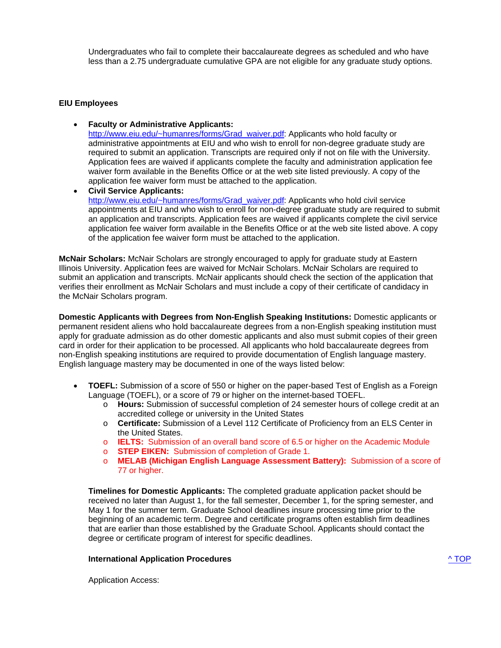Undergraduates who fail to complete their baccalaureate degrees as scheduled and who have less than a 2.75 undergraduate cumulative GPA are not eligible for any graduate study options.

### **EIU Employees**

• **Faculty or Administrative Applicants:** 

http://www.eiu.edu/~humanres/forms/Grad\_waiver.pdf: Applicants who hold faculty or administrative appointments at EIU and who wish to enroll for non-degree graduate study are required to submit an application. Transcripts are required only if not on file with the University. Application fees are waived if applicants complete the faculty and administration application fee waiver form available in the Benefits Office or at the web site listed previously. A copy of the application fee waiver form must be attached to the application.

• **Civil Service Applicants:**  http://www.eiu.edu/~humanres/forms/Grad\_waiver.pdf: Applicants who hold civil service appointments at EIU and who wish to enroll for non-degree graduate study are required to submit an application and transcripts. Application fees are waived if applicants complete the civil service application fee waiver form available in the Benefits Office or at the web site listed above. A copy of the application fee waiver form must be attached to the application.

**McNair Scholars:** McNair Scholars are strongly encouraged to apply for graduate study at Eastern Illinois University. Application fees are waived for McNair Scholars. McNair Scholars are required to submit an application and transcripts. McNair applicants should check the section of the application that verifies their enrollment as McNair Scholars and must include a copy of their certificate of candidacy in the McNair Scholars program.

**Domestic Applicants with Degrees from Non-English Speaking Institutions:** Domestic applicants or permanent resident aliens who hold baccalaureate degrees from a non-English speaking institution must apply for graduate admission as do other domestic applicants and also must submit copies of their green card in order for their application to be processed. All applicants who hold baccalaureate degrees from non-English speaking institutions are required to provide documentation of English language mastery. English language mastery may be documented in one of the ways listed below:

- **TOEFL:** Submission of a score of 550 or higher on the paper-based Test of English as a Foreign Language (TOEFL), or a score of 79 or higher on the internet-based TOEFL.
	- o **Hours:** Submission of successful completion of 24 semester hours of college credit at an accredited college or university in the United States
	- o **Certificate:** Submission of a Level 112 Certificate of Proficiency from an ELS Center in the United States.
	- o **IELTS:** Submission of an overall band score of 6.5 or higher on the Academic Module
	- o **STEP EIKEN:** Submission of completion of Grade 1.
	- o **MELAB (Michigan English Language Assessment Battery):** Submission of a score of 77 or higher.

**Timelines for Domestic Applicants:** The completed graduate application packet should be received no later than August 1, for the fall semester, December 1, for the spring semester, and May 1 for the summer term. Graduate School deadlines insure processing time prior to the beginning of an academic term. Degree and certificate programs often establish firm deadlines that are earlier than those established by the Graduate School. Applicants should contact the degree or certificate program of interest for specific deadlines.

#### **International Application Procedures** ^ TOP

Application Access: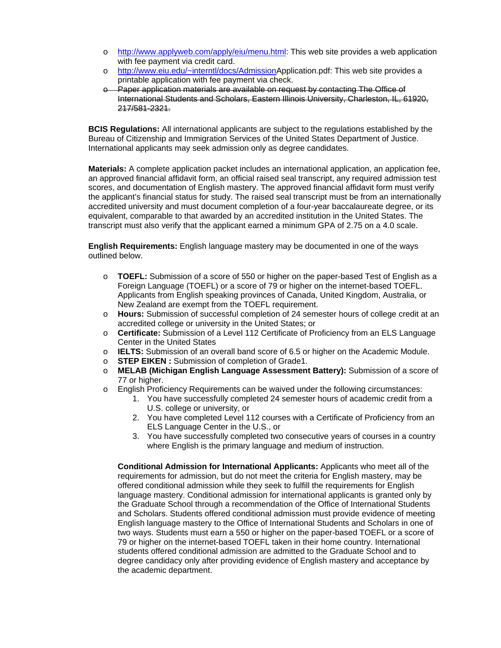- o http://www.applyweb.com/apply/eiu/menu.html: This web site provides a web application with fee payment via credit card.
- o http://www.eiu.edu/~interntl/docs/AdmissionApplication.pdf: This web site provides a printable application with fee payment via check.
- o Paper application materials are available on request by contacting The Office of International Students and Scholars, Eastern Illinois University, Charleston, IL, 61920, 217/581-2321.

**BCIS Regulations:** All international applicants are subject to the regulations established by the Bureau of Citizenship and Immigration Services of the United States Department of Justice. International applicants may seek admission only as degree candidates.

**Materials:** A complete application packet includes an international application, an application fee, an approved financial affidavit form, an official raised seal transcript, any required admission test scores, and documentation of English mastery. The approved financial affidavit form must verify the applicant's financial status for study. The raised seal transcript must be from an internationally accredited university and must document completion of a four-year baccalaureate degree, or its equivalent, comparable to that awarded by an accredited institution in the United States. The transcript must also verify that the applicant earned a minimum GPA of 2.75 on a 4.0 scale.

**English Requirements:** English language mastery may be documented in one of the ways outlined below.

- o **TOEFL:** Submission of a score of 550 or higher on the paper-based Test of English as a Foreign Language (TOEFL) or a score of 79 or higher on the internet-based TOEFL. Applicants from English speaking provinces of Canada, United Kingdom, Australia, or New Zealand are exempt from the TOEFL requirement.
- o **Hours:** Submission of successful completion of 24 semester hours of college credit at an accredited college or university in the United States; or
- o **Certificate:** Submission of a Level 112 Certificate of Proficiency from an ELS Language Center in the United States
- o **IELTS:** Submission of an overall band score of 6.5 or higher on the Academic Module.
- o **STEP EIKEN :** Submission of completion of Grade1.
- o **MELAB (Michigan English Language Assessment Battery):** Submission of a score of 77 or higher.
- o English Proficiency Requirements can be waived under the following circumstances:
	- 1. You have successfully completed 24 semester hours of academic credit from a U.S. college or university, or
	- 2. You have completed Level 112 courses with a Certificate of Proficiency from an ELS Language Center in the U.S., or
	- 3. You have successfully completed two consecutive years of courses in a country where English is the primary language and medium of instruction.

**Conditional Admission for International Applicants:** Applicants who meet all of the requirements for admission, but do not meet the criteria for English mastery, may be offered conditional admission while they seek to fulfill the requirements for English language mastery. Conditional admission for international applicants is granted only by the Graduate School through a recommendation of the Office of International Students and Scholars. Students offered conditional admission must provide evidence of meeting English language mastery to the Office of International Students and Scholars in one of two ways. Students must earn a 550 or higher on the paper-based TOEFL or a score of 79 or higher on the internet-based TOEFL taken in their home country. International students offered conditional admission are admitted to the Graduate School and to degree candidacy only after providing evidence of English mastery and acceptance by the academic department.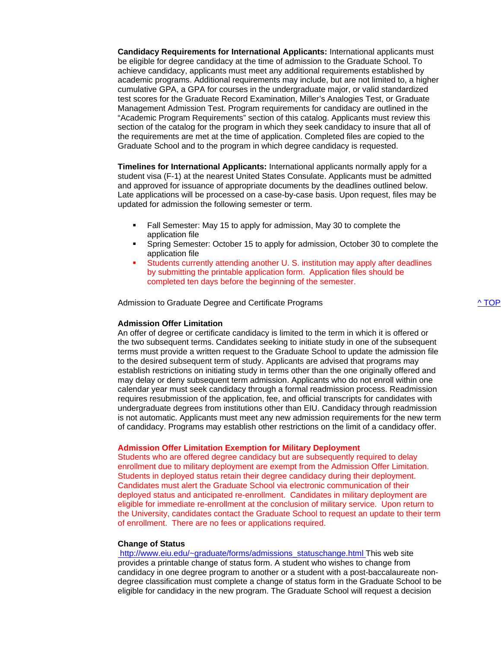**Candidacy Requirements for International Applicants:** International applicants must be eligible for degree candidacy at the time of admission to the Graduate School. To achieve candidacy, applicants must meet any additional requirements established by academic programs. Additional requirements may include, but are not limited to, a higher cumulative GPA, a GPA for courses in the undergraduate major, or valid standardized test scores for the Graduate Record Examination, Miller's Analogies Test, or Graduate Management Admission Test. Program requirements for candidacy are outlined in the "Academic Program Requirements" section of this catalog. Applicants must review this section of the catalog for the program in which they seek candidacy to insure that all of the requirements are met at the time of application. Completed files are copied to the Graduate School and to the program in which degree candidacy is requested.

**Timelines for International Applicants:** International applicants normally apply for a student visa (F-1) at the nearest United States Consulate. Applicants must be admitted and approved for issuance of appropriate documents by the deadlines outlined below. Late applications will be processed on a case-by-case basis. Upon request, files may be updated for admission the following semester or term.

- Fall Semester: May 15 to apply for admission, May 30 to complete the application file
- Spring Semester: October 15 to apply for admission, October 30 to complete the application file
- Students currently attending another U. S. institution may apply after deadlines by submitting the printable application form. Application files should be completed ten days before the beginning of the semester.

Admission to Graduate Degree and Certificate Programs ^ TOP

#### **Admission Offer Limitation**

An offer of degree or certificate candidacy is limited to the term in which it is offered or the two subsequent terms. Candidates seeking to initiate study in one of the subsequent terms must provide a written request to the Graduate School to update the admission file to the desired subsequent term of study. Applicants are advised that programs may establish restrictions on initiating study in terms other than the one originally offered and may delay or deny subsequent term admission. Applicants who do not enroll within one calendar year must seek candidacy through a formal readmission process. Readmission requires resubmission of the application, fee, and official transcripts for candidates with undergraduate degrees from institutions other than EIU. Candidacy through readmission is not automatic. Applicants must meet any new admission requirements for the new term of candidacy. Programs may establish other restrictions on the limit of a candidacy offer.

#### **Admission Offer Limitation Exemption for Military Deployment**

Students who are offered degree candidacy but are subsequently required to delay enrollment due to military deployment are exempt from the Admission Offer Limitation. Students in deployed status retain their degree candidacy during their deployment. Candidates must alert the Graduate School via electronic communication of their deployed status and anticipated re-enrollment. Candidates in military deployment are eligible for immediate re-enrollment at the conclusion of military service. Upon return to the University, candidates contact the Graduate School to request an update to their term of enrollment. There are no fees or applications required.

#### **Change of Status**

 http://www.eiu.edu/~graduate/forms/admissions\_statuschange.html This web site provides a printable change of status form. A student who wishes to change from candidacy in one degree program to another or a student with a post-baccalaureate nondegree classification must complete a change of status form in the Graduate School to be eligible for candidacy in the new program. The Graduate School will request a decision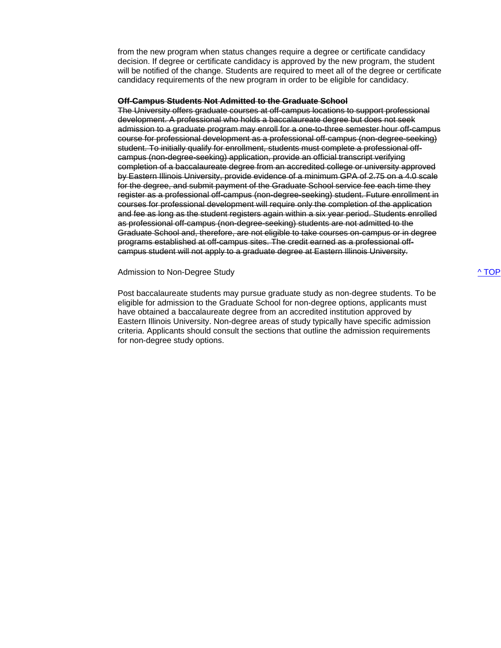from the new program when status changes require a degree or certificate candidacy decision. If degree or certificate candidacy is approved by the new program, the student will be notified of the change. Students are required to meet all of the degree or certificate candidacy requirements of the new program in order to be eligible for candidacy.

#### **Off-Campus Students Not Admitted to the Graduate School**

The University offers graduate courses at off-campus locations to support professional development. A professional who holds a baccalaureate degree but does not seek admission to a graduate program may enroll for a one-to-three semester hour off-campus course for professional development as a professional off-campus (non-degree-seeking) student. To initially qualify for enrollment, students must complete a professional offcampus (non-degree-seeking) application, provide an official transcript verifying completion of a baccalaureate degree from an accredited college or university approved by Eastern Illinois University, provide evidence of a minimum GPA of 2.75 on a 4.0 scale for the degree, and submit payment of the Graduate School service fee each time they register as a professional off-campus (non-degree-seeking) student. Future enrollment in courses for professional development will require only the completion of the application and fee as long as the student registers again within a six year period. Students enrolled as professional off-campus (non-degree-seeking) students are not admitted to the Graduate School and, therefore, are not eligible to take courses on-campus or in degree programs established at off-campus sites. The credit earned as a professional offcampus student will not apply to a graduate degree at Eastern Illinois University.

#### Admission to Non-Degree Study and the study of the study of the study of the study of the study of the study of the study of the study of the study of the study of the study of the study of the study of the study of the st

Post baccalaureate students may pursue graduate study as non-degree students. To be eligible for admission to the Graduate School for non-degree options, applicants must have obtained a baccalaureate degree from an accredited institution approved by Eastern Illinois University. Non-degree areas of study typically have specific admission criteria. Applicants should consult the sections that outline the admission requirements for non-degree study options.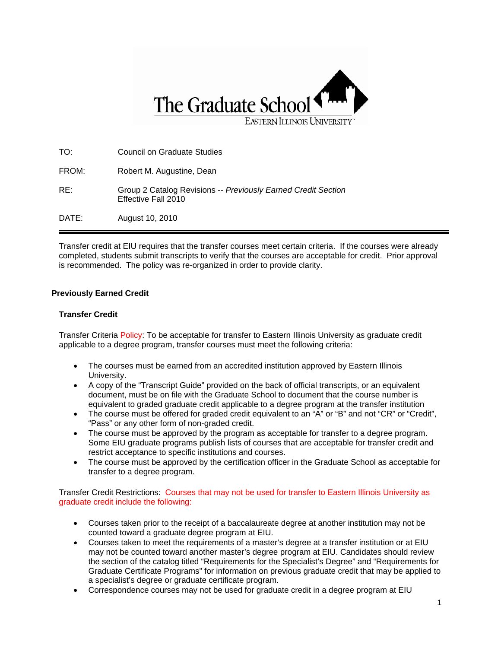

| DATE: | August 10, 2010                                                                      |
|-------|--------------------------------------------------------------------------------------|
| RE:   | Group 2 Catalog Revisions -- Previously Earned Credit Section<br>Effective Fall 2010 |
| FROM: | Robert M. Augustine, Dean                                                            |
| TO:   | Council on Graduate Studies                                                          |

Transfer credit at EIU requires that the transfer courses meet certain criteria. If the courses were already completed, students submit transcripts to verify that the courses are acceptable for credit. Prior approval is recommended. The policy was re-organized in order to provide clarity.

## **Previously Earned Credit**

## **Transfer Credit**

Transfer Criteria Policy: To be acceptable for transfer to Eastern Illinois University as graduate credit applicable to a degree program, transfer courses must meet the following criteria:

- The courses must be earned from an accredited institution approved by Eastern Illinois University.
- A copy of the "Transcript Guide" provided on the back of official transcripts, or an equivalent document, must be on file with the Graduate School to document that the course number is equivalent to graded graduate credit applicable to a degree program at the transfer institution
- The course must be offered for graded credit equivalent to an "A" or "B" and not "CR" or "Credit", "Pass" or any other form of non-graded credit.
- The course must be approved by the program as acceptable for transfer to a degree program. Some EIU graduate programs publish lists of courses that are acceptable for transfer credit and restrict acceptance to specific institutions and courses.
- The course must be approved by the certification officer in the Graduate School as acceptable for transfer to a degree program.

Transfer Credit Restrictions: Courses that may not be used for transfer to Eastern Illinois University as graduate credit include the following:

- Courses taken prior to the receipt of a baccalaureate degree at another institution may not be counted toward a graduate degree program at EIU.
- Courses taken to meet the requirements of a master's degree at a transfer institution or at EIU may not be counted toward another master's degree program at EIU. Candidates should review the section of the catalog titled "Requirements for the Specialist's Degree" and "Requirements for Graduate Certificate Programs" for information on previous graduate credit that may be applied to a specialist's degree or graduate certificate program.
- Correspondence courses may not be used for graduate credit in a degree program at EIU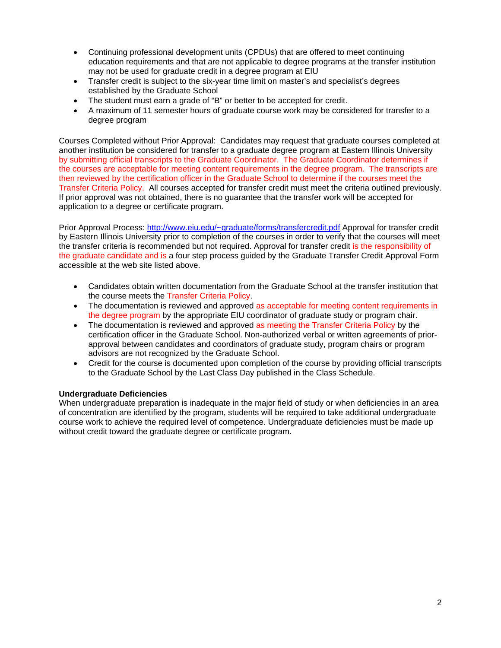- Continuing professional development units (CPDUs) that are offered to meet continuing education requirements and that are not applicable to degree programs at the transfer institution may not be used for graduate credit in a degree program at EIU
- Transfer credit is subject to the six-year time limit on master's and specialist's degrees established by the Graduate School
- The student must earn a grade of "B" or better to be accepted for credit.
- A maximum of 11 semester hours of graduate course work may be considered for transfer to a degree program

Courses Completed without Prior Approval: Candidates may request that graduate courses completed at another institution be considered for transfer to a graduate degree program at Eastern Illinois University by submitting official transcripts to the Graduate Coordinator. The Graduate Coordinator determines if the courses are acceptable for meeting content requirements in the degree program. The transcripts are then reviewed by the certification officer in the Graduate School to determine if the courses meet the Transfer Criteria Policy. All courses accepted for transfer credit must meet the criteria outlined previously. If prior approval was not obtained, there is no guarantee that the transfer work will be accepted for application to a degree or certificate program.

Prior Approval Process: http://www.eiu.edu/~graduate/forms/transfercredit.pdf Approval for transfer credit by Eastern Illinois University prior to completion of the courses in order to verify that the courses will meet the transfer criteria is recommended but not required. Approval for transfer credit is the responsibility of the graduate candidate and is a four step process guided by the Graduate Transfer Credit Approval Form accessible at the web site listed above.

- Candidates obtain written documentation from the Graduate School at the transfer institution that the course meets the Transfer Criteria Policy.
- The documentation is reviewed and approved as acceptable for meeting content requirements in the degree program by the appropriate EIU coordinator of graduate study or program chair.
- The documentation is reviewed and approved as meeting the Transfer Criteria Policy by the certification officer in the Graduate School. Non-authorized verbal or written agreements of priorapproval between candidates and coordinators of graduate study, program chairs or program advisors are not recognized by the Graduate School.
- Credit for the course is documented upon completion of the course by providing official transcripts to the Graduate School by the Last Class Day published in the Class Schedule.

#### **Undergraduate Deficiencies**

When undergraduate preparation is inadequate in the major field of study or when deficiencies in an area of concentration are identified by the program, students will be required to take additional undergraduate course work to achieve the required level of competence. Undergraduate deficiencies must be made up without credit toward the graduate degree or certificate program.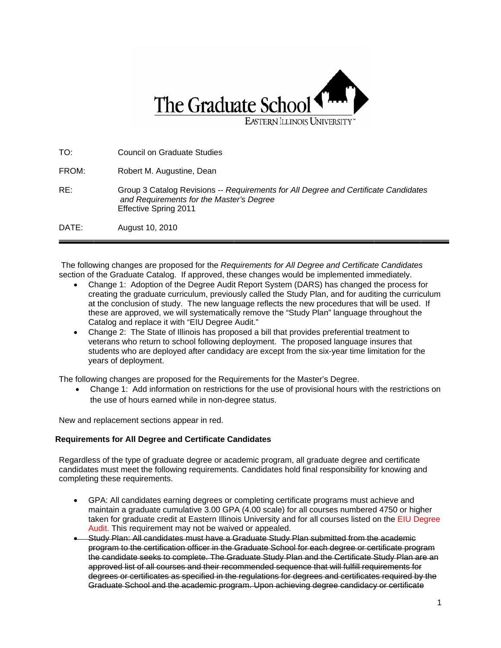

TO: FROM: RE: DATE: Council on Graduate Studies Robert M. Augustine, Dean Group 3 Catalog Revisions -- *Requirements for All Degree and Certificate Candidates* and Requirements for the Master's Degree Effecti ve Spring 20 11 August 10, 2010

The following changes are proposed for the *Requirements for All Degree and Certificate Candidates* section of the Graduate Catalog. If approved, these changes would be implemented immediately.

- Change 1: Adoption of the Degree Audit Report System (DARS) has changed the process for creating the graduate curriculum, previously called the Study Plan, and for auditing the curriculum at the conclusion of study. The new language reflects the new procedures that will be used. If these are approved, we will systematically remove the "Study Plan" language throughout the Catalog and replace it with "EIU Degree Audit."
- Change 2: The State of Illinois has proposed a bill that provides preferential treatment to veterans who return to school following deployment. The proposed language insures that these are approved, we will systematically remove the "Study Plan" language throughout the<br>Catalog and replace it with "EIU Degree Audit."<br>Change 2: The State of Illinois has proposed a bill that provides preferential trea ye ears of deploy yment.

The following changes are proposed for the Requirements for the Master's Degree.

• Change 1: Add information on restrictions for the use of provisional hours with the restrictions on the use of hours earned while in non-degree status.

New and replacement sections appear in red.

## **Requirements for All Degree and Certificate Candidates**

Regardless of the type of graduate degree or academic program, all graduate degree and certificate candidates must meet the following requirements. Candidates hold final responsibility for knowing and completing these requirements.

- GPA: All candidates earning degrees or completing certificate programs must achieve and maintain a graduate cumulative 3.00 GPA (4.00 scale) for all courses numbered 4750 or higher taken for graduate credit at Eastern Illinois University and for all courses listed on the EIU Degree Audit. This requirement may not be waived or appealed.
- Study Plan: All candidates must have a Graduate Study Plan submitted from the academic program to the certification officer in the Graduate School for each degree or certificate program the candidate seeks to complete. The Graduate Study Plan and the Certificate Study Plan are an the fo approved list of all courses and their recommended sequence that will fulfill requirements for approved list of all courses and their recommended sequence that will fulfill requirements for<br>degrees or certificates as specified in the regulations for degrees and certificates required by the Graduate School and the academic program. Upon achieving degree candidacy or certificate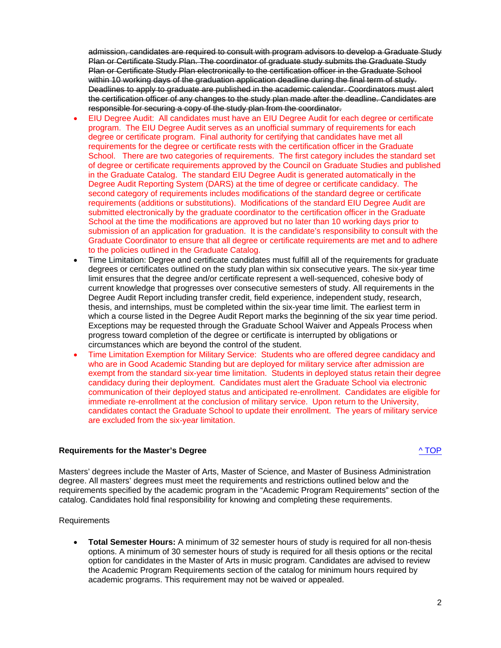admission, candidates are required to consult with program advisors to develop a Graduate Study Plan or Certificate Study Plan. The coordinator of graduate study submits the Graduate Study Plan or Certificate Study Plan electronically to the certification officer in the Graduate School within 10 working days of the graduation application deadline during the final term of study. Deadlines to apply to graduate are published in the academic calendar. Coordinators must alert the certification officer of any changes to the study plan made after the deadline. Candidates are responsible for securing a copy of the study plan from the coordinator.

- EIU Degree Audit: All candidates must have an EIU Degree Audit for each degree or certificate program. The EIU Degree Audit serves as an unofficial summary of requirements for each degree or certificate program. Final authority for certifying that candidates have met all requirements for the degree or certificate rests with the certification officer in the Graduate School. There are two categories of requirements. The first category includes the standard set of degree or certificate requirements approved by the Council on Graduate Studies and published in the Graduate Catalog. The standard EIU Degree Audit is generated automatically in the Degree Audit Reporting System (DARS) at the time of degree or certificate candidacy. The second category of requirements includes modifications of the standard degree or certificate requirements (additions or substitutions). Modifications of the standard EIU Degree Audit are submitted electronically by the graduate coordinator to the certification officer in the Graduate School at the time the modifications are approved but no later than 10 working days prior to submission of an application for graduation. It is the candidate's responsibility to consult with the Graduate Coordinator to ensure that all degree or certificate requirements are met and to adhere to the policies outlined in the Graduate Catalog.
- Time Limitation: Degree and certificate candidates must fulfill all of the requirements for graduate degrees or certificates outlined on the study plan within six consecutive years. The six-year time limit ensures that the degree and/or certificate represent a well-sequenced, cohesive body of current knowledge that progresses over consecutive semesters of study. All requirements in the Degree Audit Report including transfer credit, field experience, independent study, research, thesis, and internships, must be completed within the six-year time limit. The earliest term in which a course listed in the Degree Audit Report marks the beginning of the six year time period. Exceptions may be requested through the Graduate School Waiver and Appeals Process when progress toward completion of the degree or certificate is interrupted by obligations or circumstances which are beyond the control of the student.
- Time Limitation Exemption for Military Service: Students who are offered degree candidacy and who are in Good Academic Standing but are deployed for military service after admission are exempt from the standard six-year time limitation. Students in deployed status retain their degree candidacy during their deployment. Candidates must alert the Graduate School via electronic communication of their deployed status and anticipated re-enrollment. Candidates are eligible for immediate re-enrollment at the conclusion of military service. Upon return to the University, candidates contact the Graduate School to update their enrollment. The years of military service are excluded from the six-year limitation.

#### **Requirements for the Master's Degree** ^ TOP

Masters' degrees include the Master of Arts, Master of Science, and Master of Business Administration degree. All masters' degrees must meet the requirements and restrictions outlined below and the requirements specified by the academic program in the "Academic Program Requirements" section of the catalog. Candidates hold final responsibility for knowing and completing these requirements.

#### Requirements

• **Total Semester Hours:** A minimum of 32 semester hours of study is required for all non-thesis options. A minimum of 30 semester hours of study is required for all thesis options or the recital option for candidates in the Master of Arts in music program. Candidates are advised to review the Academic Program Requirements section of the catalog for minimum hours required by academic programs. This requirement may not be waived or appealed.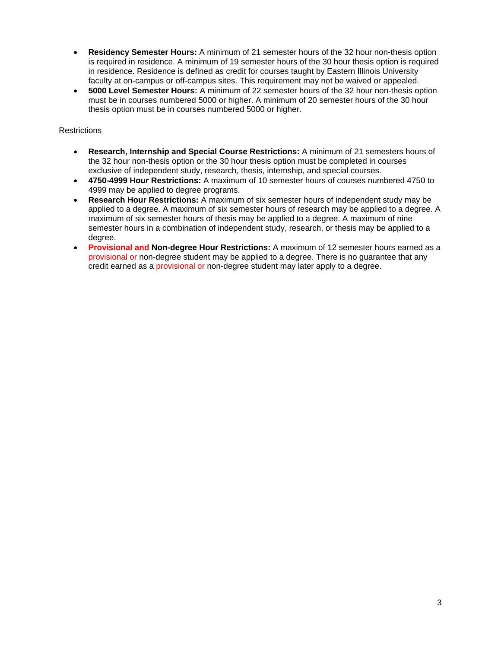- **Residency Semester Hours:** A minimum of 21 semester hours of the 32 hour non-thesis option is required in residence. A minimum of 19 semester hours of the 30 hour thesis option is required in residence. Residence is defined as credit for courses taught by Eastern Illinois University faculty at on-campus or off-campus sites. This requirement may not be waived or appealed.
- **5000 Level Semester Hours:** A minimum of 22 semester hours of the 32 hour non-thesis option must be in courses numbered 5000 or higher. A minimum of 20 semester hours of the 30 hour thesis option must be in courses numbered 5000 or higher.

## **Restrictions**

- **Research, Internship and Special Course Restrictions:** A minimum of 21 semesters hours of the 32 hour non-thesis option or the 30 hour thesis option must be completed in courses exclusive of independent study, research, thesis, internship, and special courses.
- **4750-4999 Hour Restrictions:** A maximum of 10 semester hours of courses numbered 4750 to 4999 may be applied to degree programs.
- **Research Hour Restrictions:** A maximum of six semester hours of independent study may be applied to a degree. A maximum of six semester hours of research may be applied to a degree. A maximum of six semester hours of thesis may be applied to a degree. A maximum of nine semester hours in a combination of independent study, research, or thesis may be applied to a degree.
- **Provisional and Non-degree Hour Restrictions:** A maximum of 12 semester hours earned as a provisional or non-degree student may be applied to a degree. There is no guarantee that any credit earned as a provisional or non-degree student may later apply to a degree.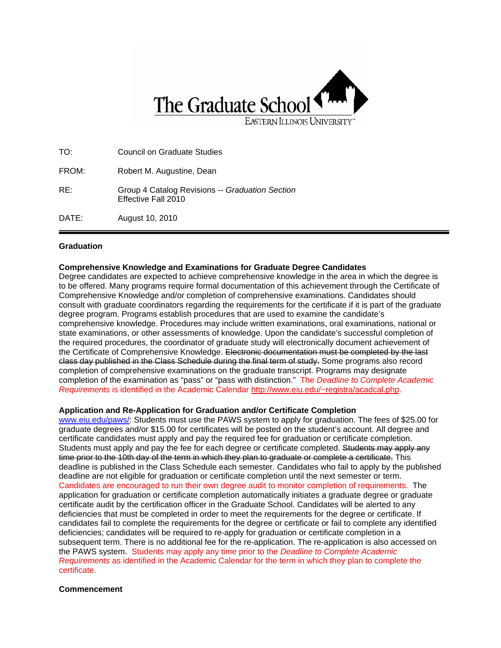

| TO:   | <b>Council on Graduate Studies</b>                                     |
|-------|------------------------------------------------------------------------|
| FROM: | Robert M. Augustine, Dean                                              |
| RE:   | Group 4 Catalog Revisions -- Graduation Section<br>Effective Fall 2010 |
| DATE: | August 10, 2010                                                        |

#### **Graduation**

#### **Comprehensive Knowledge and Examinations for Graduate Degree Candidates**

Degree candidates are expected to achieve comprehensive knowledge in the area in which the degree is to be offered. Many programs require formal documentation of this achievement through the Certificate of Comprehensive Knowledge and/or completion of comprehensive examinations. Candidates should consult with graduate coordinators regarding the requirements for the certificate if it is part of the graduate degree program. Programs establish procedures that are used to examine the candidate's comprehensive knowledge. Procedures may include written examinations, oral examinations, national or state examinations, or other assessments of knowledge. Upon the candidate's successful completion of the required procedures, the coordinator of graduate study will electronically document achievement of the Certificate of Comprehensive Knowledge. Electronic documentation must be completed by the last class day published in the Class Schedule during the final term of study. Some programs also record completion of comprehensive examinations on the graduate transcript. Programs may designate completion of the examination as "pass" or "pass with distinction." The *Deadline to Complete Academic Requirements* is identified in the Academic Calendar http://www.eiu.edu/~registra/acadcal.php.

#### **Application and Re-Application for Graduation and/or Certificate Completion**

www.eiu.edu/paws/: Students must use the PAWS system to apply for graduation. The fees of \$25.00 for graduate degrees and/or \$15.00 for certificates will be posted on the student's account. All degree and certificate candidates must apply and pay the required fee for graduation or certificate completion. Students must apply and pay the fee for each degree or certificate completed. Students may apply any time prior to the 10th day of the term in which they plan to graduate or complete a certificate. This deadline is published in the Class Schedule each semester. Candidates who fail to apply by the published deadline are not eligible for graduation or certificate completion until the next semester or term. Candidates are encouraged to run their own degree audit to monitor completion of requirements. The application for graduation or certificate completion automatically initiates a graduate degree or graduate certificate audit by the certification officer in the Graduate School. Candidates will be alerted to any deficiencies that must be completed in order to meet the requirements for the degree or certificate. If candidates fail to complete the requirements for the degree or certificate or fail to complete any identified deficiencies; candidates will be required to re-apply for graduation or certificate completion in a subsequent term. There is no additional fee for the re-application. The re-application is also accessed on the PAWS system. Students may apply any time prior to the *Deadline to Complete Academic Requirements* as identified in the Academic Calendar for the term in which they plan to complete the certificate.

#### **Commencement**